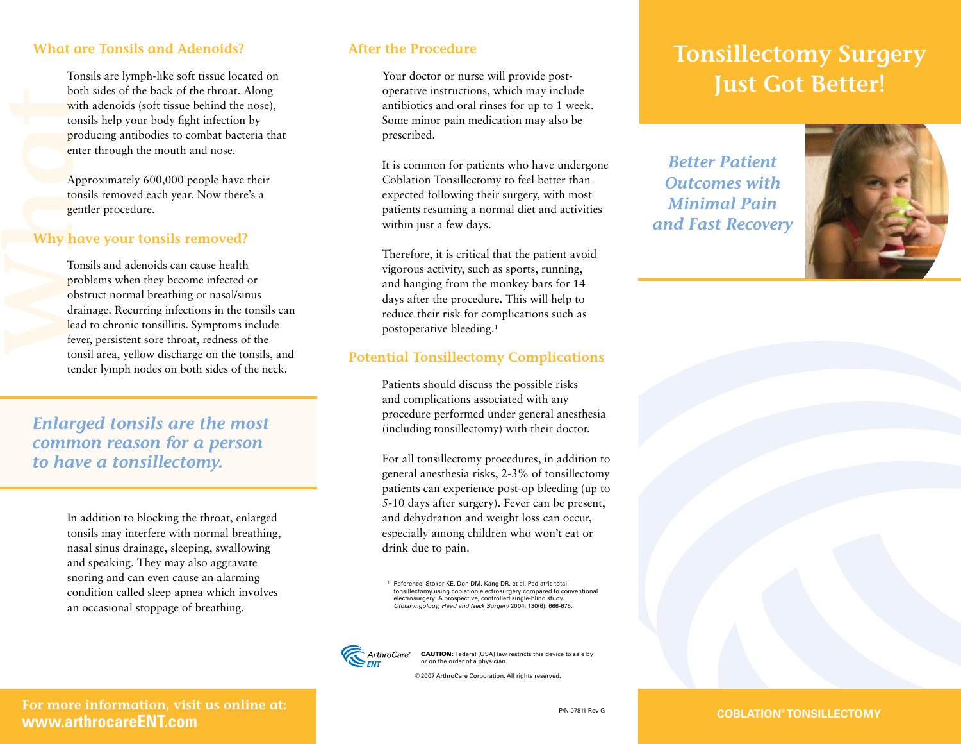# **What are Tonsils and Adenoids?**

Tonsils are lymph-like soft tissue located on both sides of the back of the throat. Along with adenoids (soft tissue behind the nose), tonsils help your body fight infection by producing antibodies to combat bacteria that enter through the mouth and nose.

Approximately 600,000 people have their tonsils removed each year. Now there's a gentler procedure.

#### **Why have your tonsils removed?**

B<br>
What<br>
What<br>
Why<br>
T<br>
T<br>
P<br>
O<br>
d<br>
le<br>
ft Tonsils and adenoids can cause health problems when they become infected or obstruct normal breathing or nasal/sinus drainage. Recurring infections in the tonsils can lead to chronic tonsillitis. Symptoms include fever, persistent sore throat, redness of the tonsil area, yellow discharge on the tonsils, and tender lymph nodes on both sides of the neck.

*Enlarged tonsils are the most common reason for a person to have a tonsillectomy.*

> In addition to blocking the throat, enlarged tonsils may interfere with normal breathing, nasal sinus drainage, sleeping, swallowing and speaking. They may also aggravate snoring and can even cause an alarming condition called sleep apnea which involves an occasional stoppage of breathing.

### **After the Procedure**

Your doctor or nurse will provide postoperative instructions, which may include antibiotics and oral rinses for up to 1 week. Some minor pain medication may also be prescribed.

It is common for patients who have undergone Coblation Tonsillectomy to feel better than expected following their surgery, with most patients resuming a normal diet and activities within just a few days.

Therefore, it is critical that the patient avoid vigorous activity, such as sports, running, and hanging from the monkey bars for 14 days after the procedure. This will help to reduce their risk for complications such as postoperative bleeding.1

#### **Potential Tonsillectomy Complications**

Patients should discuss the possible risks and complications associated with any procedure performed under general anesthesia (including tonsillectomy) with their doctor.

For all tonsillectomy procedures, in addition to general anesthesia risks, 2-3% of tonsillectomy patients can experience post-op bleeding (up to 5-10 days after surgery). Fever can be present, and dehydration and weight loss can occur, especially among children who won't eat or drink due to pain.

<sup>1</sup> Reference: Stoker KE. Don DM. Kang DR. et al. Pediatric total tonsillectomy using coblation electrosurgery compared to conventional<br>electrosurgery: A prospective, controlled single-blind study.<br>*Otolaryngology, Head and Neck Surgery 2*004; 130(6): 666-675.



ArthroCare<sup>®</sup> CAUTION: Federal (USA) law restricts this device to sale by or on the order of a physician.

© 2007 ArthroCare Corporation. All rights reserved

#### **P/N 07811 Rev G COBLATION® TONSILLECTOMY**

# **Tonsillectomy Surgery Just Got Better!**

*Better Patient Outcomes with Minimal Pain and Fast Recovery*